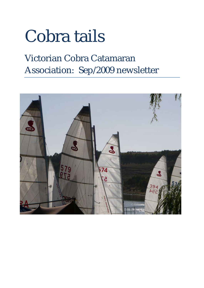# Cobra tails

### Victorian Cobra Catamaran Association: Sep/2009 newsletter

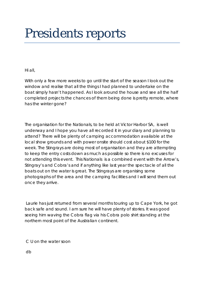## Presidents reports

Hi all,

With only a few more weeks to go until the start of the season I look out the window and realise that all the things I had planned to undertake on the boat simply hasn't happened. As I look around the house and see all the half completed projects the chances of them being done is pretty remote, where has the winter gone?

The organisation for the Nationals, to be held at Victor Harbor SA, is well underway and I hope you have all recorded it in your diary and planning to attend? There will be plenty of camping accommodation available at the local show grounds and with power onsite should cost about \$100 for the week. The Stingrays are doing most of organisation and they are attempting to keep the entry costs down as much as possible so there is no excuses for not attending this event. This Nationals is a combined event with the Arrow's, Stingray's and Cobra's and if anything like last year the spectacle of all the boats out on the water is great. The Stingrays are organising some photographs of the area and the camping facilities and I will send them out once they arrive.

Laurie has just returned from several months touring up to Cape York, he got back safe and sound. I am sure he will have plenty of stories. It was good seeing him waving the Cobra flag via his Cobra polo shirt standing at the northern most point of the Australian continent.

C U on the water soon

db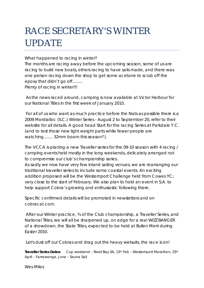### RACE SECRETARY'S WINTER UPDATE

What happened to racing in winter?

The months are racing away before the upcoming season, some of us are racing to build new boats, others racing to have sails made, and there was one person racing down the shop to get some acetone to scrub off the epoxy that didn't go off......... Plenty of racing in winter!!!

As the news raced around, camping is now available at Victor Harbour for our National Titles in the first week of January 2010.

For all of us who want as much practice before the Nats as possible there is a 2009 Mordialloc (S.C.) Winter Series - August 2 to September 20, refer to their website for all details. A good head Start for the racing Series at Parkdale Y.C. (and to test those new light weight parts while fewer people are watching........ 32mm boom this season?).

The VCCA is planing a new Traveller series for the 09-10 season with 4 racing / camping events held mostly in the long weekends, delicately arranged not to compromise our club's championship series.

As sadly we now have very few inland sailing venues, we are rearranging our traditional traveller series to include some coastal events. An exciting addition proposed will be the Westernport Challenge held from Cowes YC; very close to the start of February. We also plan to hold an event in S.A. to help support Cobra's growing and enthusiastic following there.

Specific confirmed details will be promoted in newsletters and on cobracat.com.

After our Winter practice, ¾ of the Club championship, a Traveller Series, and National Titles, we will all be sharpened up, on edge for a real WIZZ BANGER of a showdown, the State Titles, expected to be held at Bullen Merri during Easter 2010.

Let's dust off our Cobras and drag out the heavy wetsuits, the race is on!

*Traveller Series Dates:* Cup weekend – Rivoli Bay SA, 13th Feb – Westernport Marathon, 25th April – Yarrawonga, June – Sauna Sail.

Wes Miles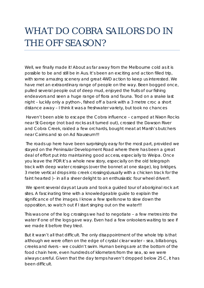#### WHAT DO COBRA SAILORS DO IN THE OFF SEASON?

Well, we finally made it! About as far away from the Melbourne cold as it is possible to be and still be in Aus. It's been an exciting and action filled trip, with some amazing scenery and great 4WD action to keep us interested. We have met an extraordinary range of people on the way. Been bogged once, pulled several people out of deep mud, enjoyed the fruits of our fishing endeavors and seen a huge range of flora and fauna. Trod on a snake last night – luckily only a python-, fished off a bank with a 3 metre croc a short distance away – I think it was a freshwater variety, but took no chances

Haven't been able to escape the Cobra influence – camped at Nixon Rocks near St George (not bad rocks as it turned out), crossed the Dawson River and Cobra Creek, raided a few orchards, bought meat at Marsh's butchers near Cairns and so on Ad Nauseum!!!

The roads up here have been surprisingly easy for the most part, provided we stayed on the Peninsular Development Road where there has been a great deal of effort put into maintaining good access, especially to Weipa. Once you leave the PDR it's a whole new story, especially on the old telegraph track with deep water crossings (over the bonnet at one stage), log bridges, 3 metre vertical drops into creek crossings(usually with a chicken track for the faint hearted )- in all a sheer delight to an enthusiastic four wheel driver!!.

We spent several days at Laura and took a guided tour of aboriginal rock art sites. A fascinating time with a knowledgeable guide to explain the significance of the images. I know a few spells now to slow down the opposition, so watch out if I start singing out on the water!!!

This was one of the log crossings we had to negotiate – a few metres into the water if one of the logs gave way. Even had a few onlookers waiting to see if we made it before they tried.

But it wasn't all that difficult. The only disappointment of the whole trip is that although we were often on the edge of crystal clear water – sea, billabongs, creeks and rivers – we couldn't swim. Human beings are at the bottom of the food chain here, even hundreds of kilometers from the sea, so we were always careful. Given that the day temps haven't dropped below 25 C, it has been difficult.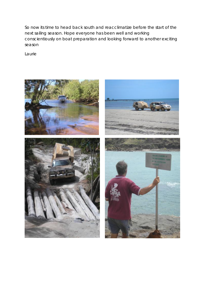So now its time to head back south and reacclimatize before the start of the next sailing season. Hope everyone has been well and working conscientiously on boat preparation and looking forward to another exciting season

Laurie



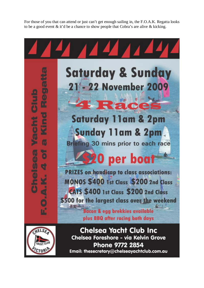For those of you that can attend or just can't get enough sailing in, the F.O.A.K. Regatta looks to be a good event & it'd be a chance to show people that Cobra's are alive & kicking.